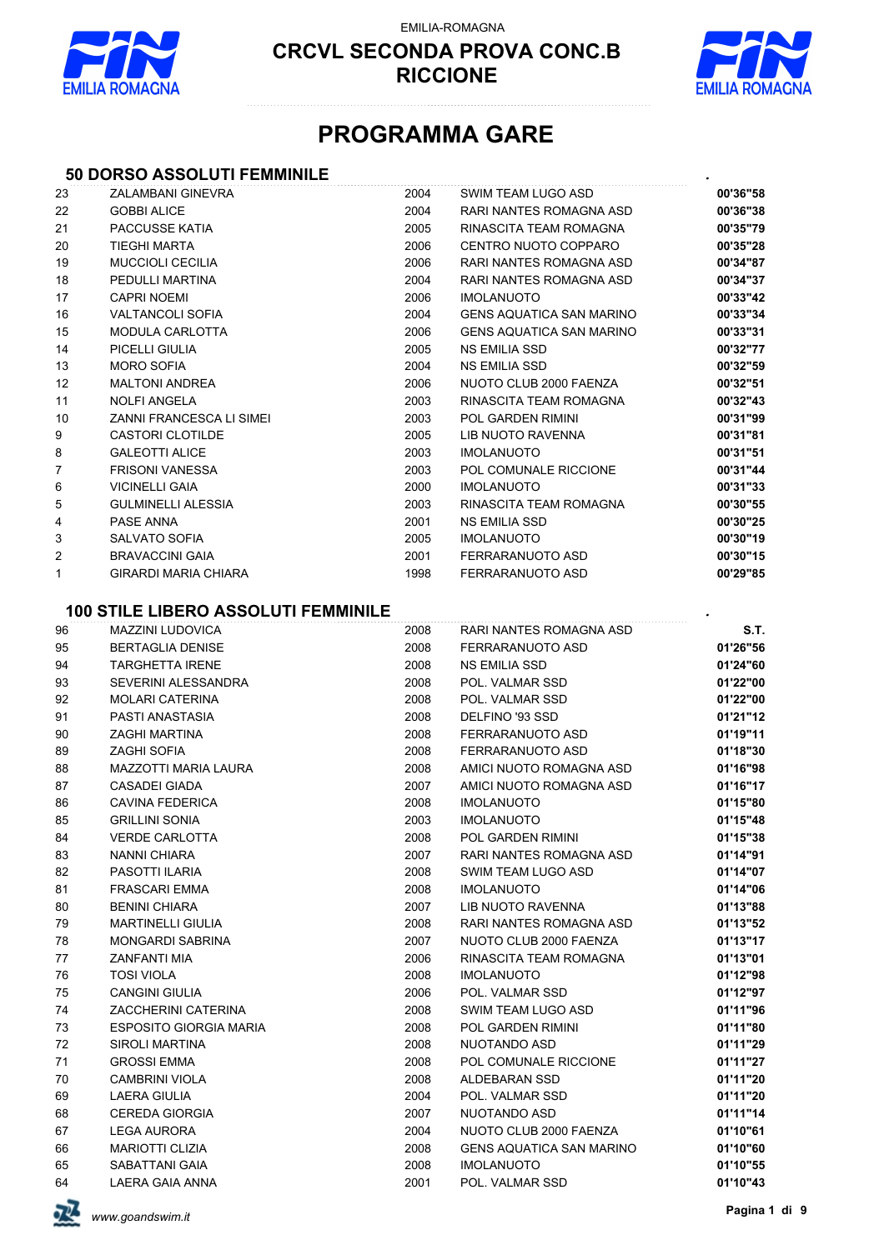

EMILIA-ROMAGNA



# **PROGRAMMA GARE**

#### **50 DORSO ASSOLUTI FEMMINILE** *.*

| 23 | ZALAMBANI GINEVRA                                      | 2004 | SWIM TEAM LUGO ASD              | 00'36"58 |
|----|--------------------------------------------------------|------|---------------------------------|----------|
| 22 | <b>GOBBI ALICE</b>                                     | 2004 | RARI NANTES ROMAGNA ASD         | 00'36"38 |
| 21 | PACCUSSE KATIA                                         | 2005 | RINASCITA TEAM ROMAGNA          | 00'35"79 |
| 20 | <b>TIEGHI MARTA</b>                                    | 2006 | CENTRO NUOTO COPPARO            | 00'35"28 |
| 19 | <b>MUCCIOLI CECILIA</b>                                | 2006 | RARI NANTES ROMAGNA ASD         | 00'34"87 |
| 18 | PEDULLI MARTINA                                        | 2004 | RARI NANTES ROMAGNA ASD         | 00'34"37 |
| 17 | <b>CAPRI NOEMI</b>                                     | 2006 | <b>IMOLANUOTO</b>               | 00'33"42 |
| 16 | <b>VALTANCOLI SOFIA</b>                                | 2004 | <b>GENS AQUATICA SAN MARINO</b> | 00'33"34 |
| 15 | <b>MODULA CARLOTTA</b>                                 | 2006 | <b>GENS AQUATICA SAN MARINO</b> | 00'33"31 |
| 14 | PICELLI GIULIA                                         | 2005 | NS EMILIA SSD                   | 00'32"77 |
| 13 | <b>MORO SOFIA</b>                                      | 2004 | <b>NS EMILIA SSD</b>            | 00'32"59 |
| 12 | <b>MALTONI ANDREA</b>                                  | 2006 | NUOTO CLUB 2000 FAENZA          | 00'32"51 |
| 11 | <b>NOLFI ANGELA</b>                                    | 2003 | RINASCITA TEAM ROMAGNA          | 00'32"43 |
| 10 | ZANNI FRANCESCA LI SIMEI                               | 2003 | POL GARDEN RIMINI               | 00'31"99 |
| 9  | <b>CASTORI CLOTILDE</b>                                | 2005 | LIB NUOTO RAVENNA               | 00'31"81 |
| 8  | <b>GALEOTTI ALICE</b>                                  | 2003 | <b>IMOLANUOTO</b>               | 00'31"51 |
| 7  | <b>FRISONI VANESSA</b>                                 | 2003 | POL COMUNALE RICCIONE           | 00'31"44 |
| 6  | <b>VICINELLI GAIA</b>                                  | 2000 | <b>IMOLANUOTO</b>               | 00'31"33 |
| 5  | <b>GULMINELLI ALESSIA</b>                              | 2003 | RINASCITA TEAM ROMAGNA          | 00'30"55 |
| 4  | PASE ANNA                                              | 2001 | <b>NS EMILIA SSD</b>            | 00'30"25 |
| 3  | <b>SALVATO SOFIA</b>                                   | 2005 | <b>IMOLANUOTO</b>               | 00'30"19 |
| 2  | <b>BRAVACCINI GAIA</b>                                 | 2001 | FERRARANUOTO ASD                | 00'30"15 |
| 1  | <b>GIRARDI MARIA CHIARA</b>                            | 1998 | FERRARANUOTO ASD                | 00'29"85 |
|    |                                                        |      |                                 |          |
|    | <b>100 STILE LIBERO ASSOLUTI FEMMINILE</b>             |      |                                 |          |
| 96 | <b>MAZZINI LUDOVICA</b>                                | 2008 | RARI NANTES ROMAGNA ASD         | S.T.     |
| 95 | <b>BERTAGLIA DENISE</b>                                | 2008 | FERRARANUOTO ASD                | 01'26"56 |
| 94 | <b>TARGHETTA IRENE</b>                                 | 2008 | <b>NS EMILIA SSD</b>            | 01'24"60 |
| 93 | SEVERINI ALESSANDRA                                    | 2008 | POL. VALMAR SSD                 | 01'22"00 |
| 92 | <b>MOLARI CATERINA</b>                                 | 2008 | POL. VALMAR SSD                 | 01'22"00 |
| 91 | PASTI ANASTASIA                                        | 2008 | DELFINO '93 SSD                 | 01'21"12 |
| 90 | <b>ZAGHI MARTINA</b>                                   | 2008 | FERRARANUOTO ASD                | 01'19"11 |
| 89 | <b>ZAGHI SOFIA</b>                                     | 2008 | FERRARANUOTO ASD                | 01'18"30 |
| 88 | <b>MAZZOTTI MARIA LAURA</b>                            | 2008 | AMICI NUOTO ROMAGNA ASD         | 01'16"98 |
| 87 | <b>CASADEI GIADA</b>                                   | 2007 | AMICI NUOTO ROMAGNA ASD         | 01'16"17 |
| 86 | <b>CAVINA FEDERICA</b>                                 | 2008 | <b>IMOLANUOTO</b>               | 01'15"80 |
| 85 | <b>GRILLINI SONIA</b>                                  | 2003 | <b>IMOLANUOTO</b>               | 01'15"48 |
| 84 | <b>VERDE CARLOTTA</b>                                  | 2008 | POL GARDEN RIMINI               | 01'15"38 |
| 83 | NANNI CHIARA                                           | 2007 | RARI NANTES ROMAGNA ASD         | 01'14"91 |
| 82 | PASOTTI ILARIA                                         | 2008 | SWIM TEAM LUGO ASD              | 01'14"07 |
| 81 | FRASCARI EMMA                                          | 2008 | <b>IMOLANUOTO</b>               | 01'14"06 |
| 80 | <b>BENINI CHIARA</b>                                   | 2007 | LIB NUOTO RAVENNA               | 01'13"88 |
| 79 | <b>MARTINELLI GIULIA</b>                               | 2008 | RARI NANTES ROMAGNA ASD         | 01'13"52 |
| 78 | <b>MONGARDI SABRINA</b>                                | 2007 | NUOTO CLUB 2000 FAENZA          | 01'13"17 |
| 77 | ZANFANTI MIA                                           | 2006 | RINASCITA TEAM ROMAGNA          | 01'13"01 |
|    | <b>TOSI VIOLA</b>                                      | 2008 | <b>IMOLANUOTO</b>               |          |
| 76 | <b>CANGINI GIULIA</b>                                  | 2006 |                                 | 01'12"98 |
| 75 |                                                        |      | POL. VALMAR SSD                 | 01'12"97 |
| 74 | <b>ZACCHERINI CATERINA</b>                             | 2008 | SWIM TEAM LUGO ASD              | 01'11"96 |
| 73 | <b>ESPOSITO GIORGIA MARIA</b><br><b>SIROLI MARTINA</b> | 2008 | POL GARDEN RIMINI               | 01'11"80 |
| 72 |                                                        | 2008 | NUOTANDO ASD                    | 01'11"29 |
| 71 | <b>GROSSI EMMA</b>                                     | 2008 | POL COMUNALE RICCIONE           | 01'11"27 |
| 70 | <b>CAMBRINI VIOLA</b>                                  | 2008 | ALDEBARAN SSD                   | 01'11"20 |
| 69 | <b>LAERA GIULIA</b>                                    | 2004 | POL. VALMAR SSD                 | 01'11"20 |
| 68 | <b>CEREDA GIORGIA</b>                                  | 2007 | NUOTANDO ASD                    | 01'11"14 |
| 67 | LEGA AURORA                                            | 2004 | NUOTO CLUB 2000 FAENZA          | 01'10"61 |
| 66 | <b>MARIOTTI CLIZIA</b>                                 | 2008 | <b>GENS AQUATICA SAN MARINO</b> | 01'10"60 |
| 65 | SABATTANI GAIA                                         | 2008 | <b>IMOLANUOTO</b>               | 01'10"55 |
| 64 | LAERA GAIA ANNA                                        | 2001 | POL. VALMAR SSD                 | 01'10"43 |

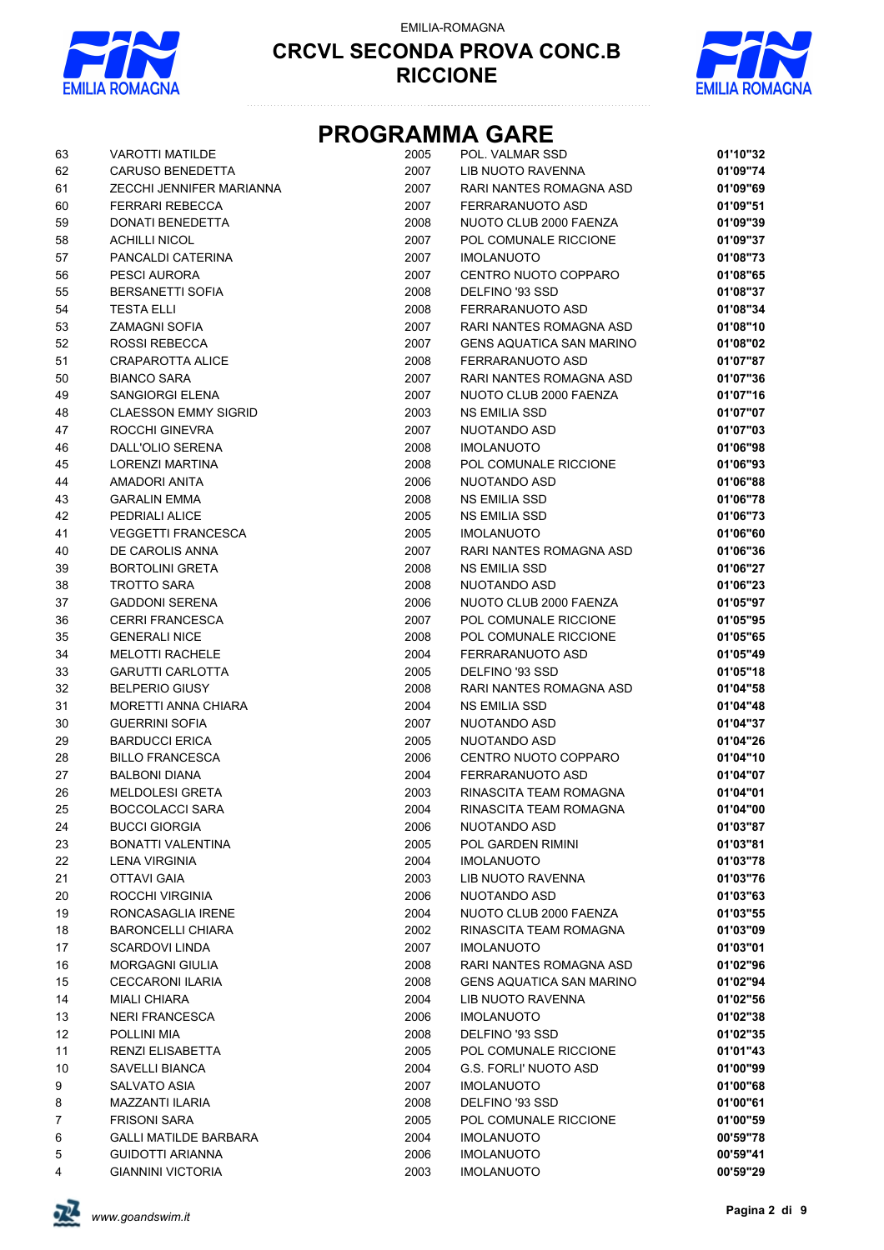

EMILIA-ROMAGNA



# **PROGRAMMA GARE**

| 63             | <b>VAROTTI MATILDE</b>       | 2005 | POL. VALMAR SSD                 | 01'10"32 |
|----------------|------------------------------|------|---------------------------------|----------|
| 62             | <b>CARUSO BENEDETTA</b>      | 2007 | LIB NUOTO RAVENNA               | 01'09"74 |
| 61             | ZECCHI JENNIFER MARIANNA     | 2007 | RARI NANTES ROMAGNA ASD         | 01'09"69 |
| 60             | <b>FERRARI REBECCA</b>       | 2007 | FERRARANUOTO ASD                | 01'09"51 |
| 59             | DONATI BENEDETTA             | 2008 | NUOTO CLUB 2000 FAENZA          | 01'09"39 |
| 58             | <b>ACHILLI NICOL</b>         | 2007 | POL COMUNALE RICCIONE           | 01'09"37 |
| 57             | PANCALDI CATERINA            | 2007 | <b>IMOLANUOTO</b>               | 01'08"73 |
| 56             | PESCI AURORA                 | 2007 | CENTRO NUOTO COPPARO            | 01'08"65 |
|                |                              |      |                                 |          |
| 55             | <b>BERSANETTI SOFIA</b>      | 2008 | DELFINO '93 SSD                 | 01'08"37 |
| 54             | <b>TESTA ELLI</b>            | 2008 | FERRARANUOTO ASD                | 01'08"34 |
| 53             | <b>ZAMAGNI SOFIA</b>         | 2007 | RARI NANTES ROMAGNA ASD         | 01'08"10 |
| 52             | <b>ROSSI REBECCA</b>         | 2007 | <b>GENS AQUATICA SAN MARINO</b> | 01'08"02 |
| 51             | CRAPAROTTA ALICE             | 2008 | FERRARANUOTO ASD                | 01'07"87 |
| 50             | <b>BIANCO SARA</b>           | 2007 | <b>RARI NANTES ROMAGNA ASD</b>  | 01'07"36 |
| 49             | SANGIORGI ELENA              | 2007 | NUOTO CLUB 2000 FAENZA          | 01'07"16 |
| 48             | <b>CLAESSON EMMY SIGRID</b>  | 2003 | <b>NS EMILIA SSD</b>            | 01'07"07 |
| 47             | ROCCHI GINEVRA               | 2007 | NUOTANDO ASD                    | 01'07"03 |
| 46             | <b>DALL'OLIO SERENA</b>      | 2008 | <b>IMOLANUOTO</b>               | 01'06"98 |
| 45             | LORENZI MARTINA              | 2008 | POL COMUNALE RICCIONE           | 01'06"93 |
| 44             | AMADORI ANITA                | 2006 | NUOTANDO ASD                    | 01'06"88 |
| 43             | <b>GARALIN EMMA</b>          | 2008 | <b>NS EMILIA SSD</b>            | 01'06"78 |
| 42             | PEDRIALI ALICE               | 2005 | <b>NS EMILIA SSD</b>            | 01'06"73 |
| 41             | <b>VEGGETTI FRANCESCA</b>    | 2005 | <b>IMOLANUOTO</b>               | 01'06"60 |
| 40             | DE CAROLIS ANNA              | 2007 | RARI NANTES ROMAGNA ASD         | 01'06"36 |
| 39             | <b>BORTOLINI GRETA</b>       | 2008 | <b>NS EMILIA SSD</b>            | 01'06"27 |
| 38             | <b>TROTTO SARA</b>           | 2008 | NUOTANDO ASD                    | 01'06"23 |
| 37             | <b>GADDONI SERENA</b>        | 2006 | NUOTO CLUB 2000 FAENZA          | 01'05"97 |
|                |                              | 2007 |                                 |          |
| 36             | <b>CERRI FRANCESCA</b>       |      | POL COMUNALE RICCIONE           | 01'05"95 |
| 35             | <b>GENERALI NICE</b>         | 2008 | POL COMUNALE RICCIONE           | 01'05"65 |
| 34             | <b>MELOTTI RACHELE</b>       | 2004 | FERRARANUOTO ASD                | 01'05"49 |
| 33             | <b>GARUTTI CARLOTTA</b>      | 2005 | DELFINO '93 SSD                 | 01'05"18 |
| 32             | <b>BELPERIO GIUSY</b>        | 2008 | RARI NANTES ROMAGNA ASD         | 01'04"58 |
| 31             | <b>MORETTI ANNA CHIARA</b>   | 2004 | <b>NS EMILIA SSD</b>            | 01'04"48 |
| 30             | <b>GUERRINI SOFIA</b>        | 2007 | NUOTANDO ASD                    | 01'04"37 |
| 29             | <b>BARDUCCI ERICA</b>        | 2005 | NUOTANDO ASD                    | 01'04"26 |
| 28             | <b>BILLO FRANCESCA</b>       | 2006 | CENTRO NUOTO COPPARO            | 01'04"10 |
| 27             | <b>BALBONI DIANA</b>         | 2004 | FERRARANUOTO ASD                | 01'04"07 |
| 26             | <b>MELDOLESI GRETA</b>       | 2003 | RINASCITA TEAM ROMAGNA          | 01'04"01 |
| 25             | <b>BOCCOLACCI SARA</b>       | 2004 | RINASCITA TEAM ROMAGNA          | 01'04"00 |
| 24             | <b>BUCCI GIORGIA</b>         | 2006 | NUOTANDO ASD                    | 01'03"87 |
| 23             | <b>BONATTI VALENTINA</b>     | 2005 | POL GARDEN RIMINI               | 01'03"81 |
| 22             | LENA VIRGINIA                | 2004 | <b>IMOLANUOTO</b>               | 01'03"78 |
| 21             | <b>OTTAVI GAIA</b>           | 2003 | LIB NUOTO RAVENNA               | 01'03"76 |
| 20             | ROCCHI VIRGINIA              | 2006 | NUOTANDO ASD                    | 01'03"63 |
| 19             | RONCASAGLIA IRENE            | 2004 | NUOTO CLUB 2000 FAENZA          | 01'03"55 |
| 18             | <b>BARONCELLI CHIARA</b>     | 2002 | RINASCITA TEAM ROMAGNA          | 01'03"09 |
| 17             | <b>SCARDOVI LINDA</b>        | 2007 | <b>IMOLANUOTO</b>               | 01'03"01 |
| 16             | <b>MORGAGNI GIULIA</b>       | 2008 | RARI NANTES ROMAGNA ASD         | 01'02"96 |
|                | <b>CECCARONI ILARIA</b>      |      |                                 |          |
| 15             |                              | 2008 | <b>GENS AQUATICA SAN MARINO</b> | 01'02"94 |
| 14             | <b>MIALI CHIARA</b>          | 2004 | LIB NUOTO RAVENNA               | 01'02"56 |
| 13             | <b>NERI FRANCESCA</b>        | 2006 | <b>IMOLANUOTO</b>               | 01'02"38 |
| 12             | POLLINI MIA                  | 2008 | DELFINO '93 SSD                 | 01'02"35 |
| 11             | RENZI ELISABETTA             | 2005 | POL COMUNALE RICCIONE           | 01'01"43 |
| 10             | SAVELLI BIANCA               | 2004 | <b>G.S. FORLI' NUOTO ASD</b>    | 01'00"99 |
| 9              | <b>SALVATO ASIA</b>          | 2007 | <b>IMOLANUOTO</b>               | 01'00"68 |
| 8              | MAZZANTI ILARIA              | 2008 | DELFINO '93 SSD                 | 01'00"61 |
| $\overline{7}$ | <b>FRISONI SARA</b>          | 2005 | POL COMUNALE RICCIONE           | 01'00"59 |
| 6              | <b>GALLI MATILDE BARBARA</b> | 2004 | <b>IMOLANUOTO</b>               | 00'59"78 |
| 5              | <b>GUIDOTTI ARIANNA</b>      | 2006 | <b>IMOLANUOTO</b>               | 00'59"41 |
| 4              | <b>GIANNINI VICTORIA</b>     | 2003 | <b>IMOLANUOTO</b>               | 00'59"29 |

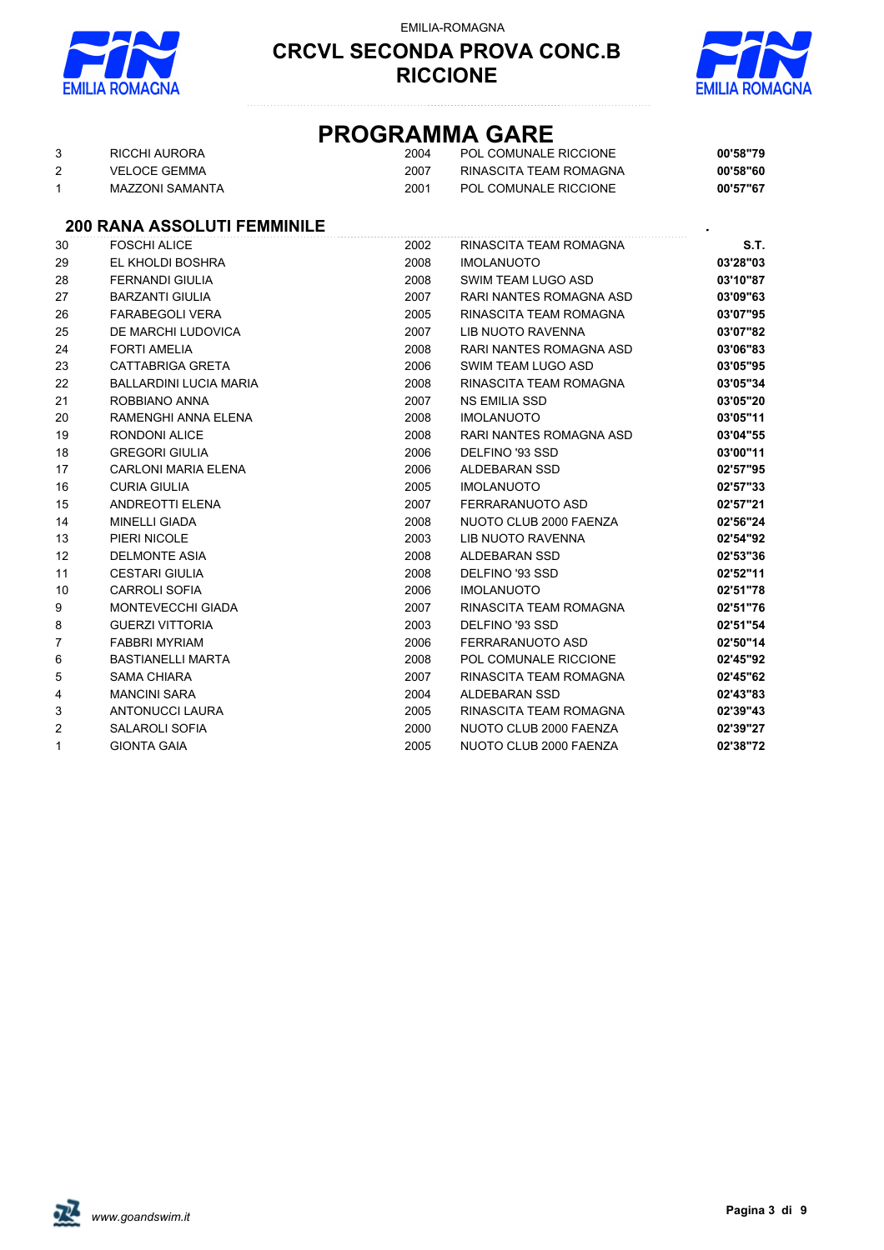

#### EMILIA-ROMAGNA

#### **CRCVL SECONDA PROVA CONC.B RICCIONE**



## **PROGRAMMA GARE**

| RICCHI AURORA   | 2004 | POL COMUNALE RICCIONE  | 00'58"79 |
|-----------------|------|------------------------|----------|
| VELOCE GEMMA    | 2007 | RINASCITA TEAM ROMAGNA | 00'58"60 |
| MAZZONI SAMANTA | 2001 | POL COMUNALE RICCIONE  | 00'57"67 |

#### **200 RANA ASSOLUTI FEMMINILE** *.*

| 30             | <b>FOSCHI ALICE</b>           | 2002 | RINASCITA TEAM ROMAGNA         | S.T.     |
|----------------|-------------------------------|------|--------------------------------|----------|
| 29             | EL KHOLDI BOSHRA              | 2008 | <b>IMOLANUOTO</b>              | 03'28"03 |
| 28             | <b>FERNANDI GIULIA</b>        | 2008 | SWIM TEAM LUGO ASD             | 03'10"87 |
| 27             | <b>BARZANTI GIULIA</b>        | 2007 | <b>RARI NANTES ROMAGNA ASD</b> | 03'09"63 |
| 26             | <b>FARABEGOLI VERA</b>        | 2005 | RINASCITA TEAM ROMAGNA         | 03'07"95 |
| 25             | DE MARCHI LUDOVICA            | 2007 | LIB NUOTO RAVENNA              | 03'07"82 |
| 24             | <b>FORTI AMELIA</b>           | 2008 | <b>RARI NANTES ROMAGNA ASD</b> | 03'06"83 |
| 23             | <b>CATTABRIGA GRETA</b>       | 2006 | SWIM TEAM LUGO ASD             | 03'05"95 |
| 22             | <b>BALLARDINI LUCIA MARIA</b> | 2008 | RINASCITA TEAM ROMAGNA         | 03'05"34 |
| 21             | ROBBIANO ANNA                 | 2007 | NS EMILIA SSD                  | 03'05"20 |
| 20             | RAMENGHI ANNA ELENA           | 2008 | <b>IMOLANUOTO</b>              | 03'05"11 |
| 19             | <b>RONDONI ALICE</b>          | 2008 | RARI NANTES ROMAGNA ASD        | 03'04"55 |
| 18             | <b>GREGORI GIULIA</b>         | 2006 | DELFINO '93 SSD                | 03'00"11 |
| 17             | <b>CARLONI MARIA ELENA</b>    | 2006 | ALDEBARAN SSD                  | 02'57"95 |
| 16             | <b>CURIA GIULIA</b>           | 2005 | <b>IMOLANUOTO</b>              | 02'57"33 |
| 15             | <b>ANDREOTTI ELENA</b>        | 2007 | FERRARANUOTO ASD               | 02'57"21 |
| 14             | <b>MINELLI GIADA</b>          | 2008 | NUOTO CLUB 2000 FAENZA         | 02'56"24 |
| 13             | PIERI NICOLE                  | 2003 | LIB NUOTO RAVENNA              | 02'54"92 |
| 12             | <b>DELMONTE ASIA</b>          | 2008 | ALDEBARAN SSD                  | 02'53"36 |
| 11             | <b>CESTARI GIULIA</b>         | 2008 | DELFINO '93 SSD                | 02'52"11 |
| 10             | <b>CARROLI SOFIA</b>          | 2006 | <b>IMOLANUOTO</b>              | 02'51"78 |
| 9              | MONTEVECCHI GIADA             | 2007 | RINASCITA TEAM ROMAGNA         | 02'51"76 |
| 8              | <b>GUERZI VITTORIA</b>        | 2003 | DELFINO '93 SSD                | 02'51"54 |
| $\overline{7}$ | <b>FABBRI MYRIAM</b>          | 2006 | FERRARANUOTO ASD               | 02'50"14 |
| 6              | <b>BASTIANELLI MARTA</b>      | 2008 | POL COMUNALE RICCIONE          | 02'45"92 |
| 5              | SAMA CHIARA                   | 2007 | RINASCITA TEAM ROMAGNA         | 02'45"62 |
| 4              | <b>MANCINI SARA</b>           | 2004 | ALDEBARAN SSD                  | 02'43"83 |
| 3              | <b>ANTONUCCI LAURA</b>        | 2005 | RINASCITA TEAM ROMAGNA         | 02'39"43 |
| $\overline{2}$ | <b>SALAROLI SOFIA</b>         | 2000 | NUOTO CLUB 2000 FAENZA         | 02'39"27 |
| $\mathbf{1}$   | <b>GIONTA GAIA</b>            | 2005 | NUOTO CLUB 2000 FAENZA         | 02'38"72 |

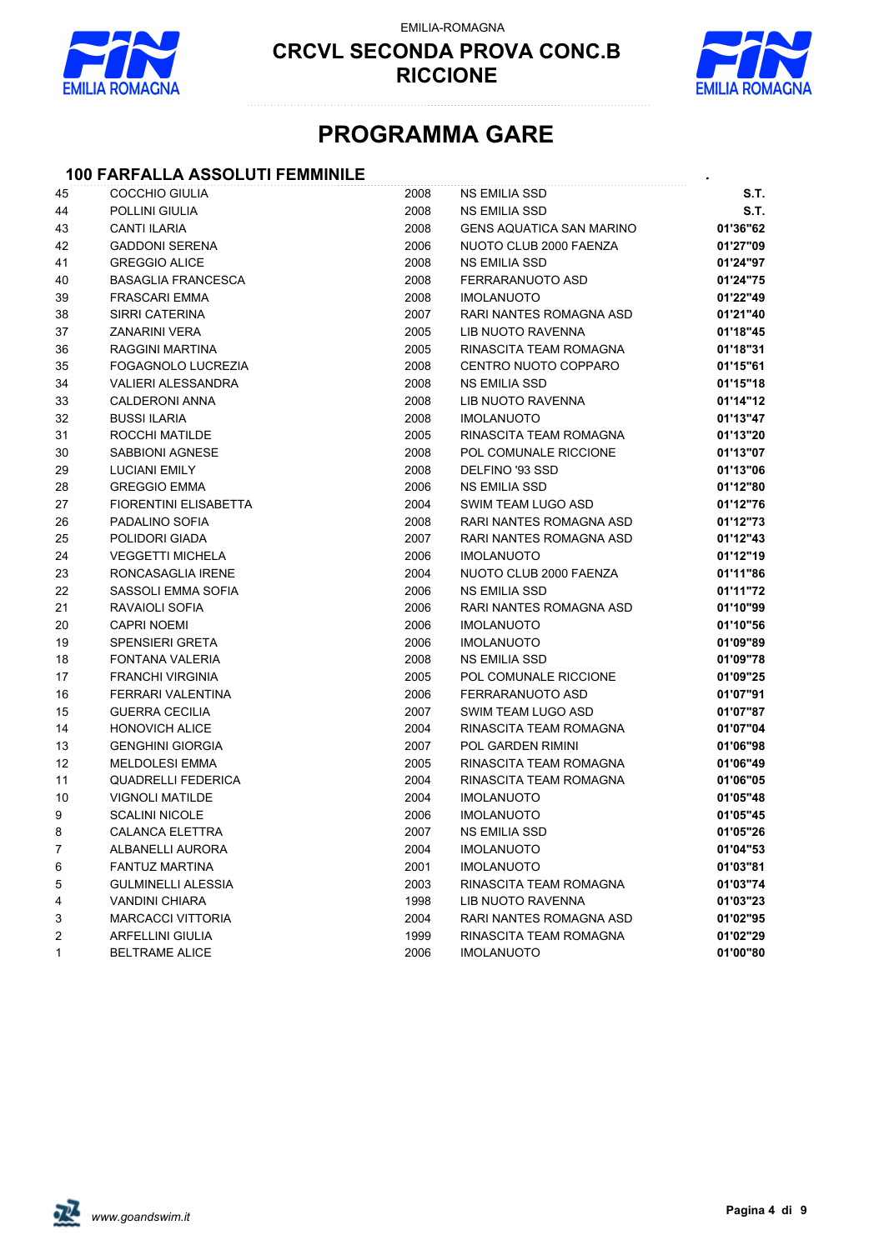

EMILIA-ROMAGNA



# **PROGRAMMA GARE**

### **100 FARFALLA ASSOLUTI FEMMINILE** *.*

| 45           | <b>COCCHIO GIULIA</b>        | 2008 | <b>NS EMILIA SSD</b>            | S.T.     |
|--------------|------------------------------|------|---------------------------------|----------|
| 44           | POLLINI GIULIA               | 2008 | <b>NS EMILIA SSD</b>            | S.T.     |
| 43           | <b>CANTI ILARIA</b>          | 2008 | <b>GENS AQUATICA SAN MARINO</b> | 01'36"62 |
| 42           | <b>GADDONI SERENA</b>        | 2006 | NUOTO CLUB 2000 FAENZA          | 01'27"09 |
| 41           | <b>GREGGIO ALICE</b>         | 2008 | <b>NS EMILIA SSD</b>            | 01'24"97 |
| 40           | <b>BASAGLIA FRANCESCA</b>    | 2008 | FERRARANUOTO ASD                | 01'24"75 |
| 39           | <b>FRASCARI EMMA</b>         | 2008 | <b>IMOLANUOTO</b>               | 01'22"49 |
| 38           | SIRRI CATERINA               | 2007 | RARI NANTES ROMAGNA ASD         | 01'21"40 |
| 37           | <b>ZANARINI VERA</b>         | 2005 | LIB NUOTO RAVENNA               | 01'18"45 |
| 36           | RAGGINI MARTINA              | 2005 | RINASCITA TEAM ROMAGNA          | 01'18"31 |
| 35           | FOGAGNOLO LUCREZIA           | 2008 | CENTRO NUOTO COPPARO            | 01'15"61 |
| 34           | <b>VALIERI ALESSANDRA</b>    | 2008 | <b>NS EMILIA SSD</b>            | 01'15"18 |
| 33           | <b>CALDERONI ANNA</b>        | 2008 | LIB NUOTO RAVENNA               | 01'14"12 |
| 32           | <b>BUSSI ILARIA</b>          | 2008 | <b>IMOLANUOTO</b>               | 01'13"47 |
| 31           | ROCCHI MATILDE               | 2005 | RINASCITA TEAM ROMAGNA          | 01'13"20 |
| 30           | SABBIONI AGNESE              | 2008 | POL COMUNALE RICCIONE           | 01'13"07 |
| 29           | <b>LUCIANI EMILY</b>         | 2008 | DELFINO '93 SSD                 | 01'13"06 |
| 28           | <b>GREGGIO EMMA</b>          | 2006 | NS EMILIA SSD                   | 01'12"80 |
| 27           | <b>FIORENTINI ELISABETTA</b> | 2004 | SWIM TEAM LUGO ASD              | 01'12"76 |
| 26           | PADALINO SOFIA               | 2008 | RARI NANTES ROMAGNA ASD         | 01'12"73 |
| 25           | POLIDORI GIADA               | 2007 | RARI NANTES ROMAGNA ASD         | 01'12"43 |
| 24           | <b>VEGGETTI MICHELA</b>      | 2006 | <b>IMOLANUOTO</b>               | 01'12"19 |
| 23           | RONCASAGLIA IRENE            | 2004 | NUOTO CLUB 2000 FAENZA          | 01'11"86 |
| 22           | SASSOLI EMMA SOFIA           | 2006 | <b>NS EMILIA SSD</b>            | 01'11"72 |
| 21           | RAVAIOLI SOFIA               | 2006 | RARI NANTES ROMAGNA ASD         | 01'10"99 |
| 20           | <b>CAPRI NOEMI</b>           | 2006 | <b>IMOLANUOTO</b>               | 01'10"56 |
| 19           | <b>SPENSIERI GRETA</b>       | 2006 | <b>IMOLANUOTO</b>               | 01'09"89 |
| 18           | <b>FONTANA VALERIA</b>       | 2008 | <b>NS EMILIA SSD</b>            | 01'09"78 |
| 17           | <b>FRANCHI VIRGINIA</b>      | 2005 | POL COMUNALE RICCIONE           | 01'09"25 |
| 16           | FERRARI VALENTINA            | 2006 | FERRARANUOTO ASD                | 01'07"91 |
| 15           | <b>GUERRA CECILIA</b>        | 2007 | SWIM TEAM LUGO ASD              | 01'07"87 |
| 14           | <b>HONOVICH ALICE</b>        | 2004 | RINASCITA TEAM ROMAGNA          | 01'07"04 |
| 13           | <b>GENGHINI GIORGIA</b>      | 2007 | POL GARDEN RIMINI               | 01'06"98 |
| 12           | <b>MELDOLESI EMMA</b>        | 2005 | RINASCITA TEAM ROMAGNA          | 01'06"49 |
| 11           | <b>QUADRELLI FEDERICA</b>    | 2004 | RINASCITA TEAM ROMAGNA          | 01'06"05 |
| 10           | <b>VIGNOLI MATILDE</b>       | 2004 | <b>IMOLANUOTO</b>               | 01'05"48 |
| 9            | <b>SCALINI NICOLE</b>        | 2006 | <b>IMOLANUOTO</b>               | 01'05"45 |
| 8            | <b>CALANCA ELETTRA</b>       | 2007 | <b>NS EMILIA SSD</b>            | 01'05"26 |
| 7            | ALBANELLI AURORA             | 2004 | <b>IMOLANUOTO</b>               | 01'04"53 |
| 6            | <b>FANTUZ MARTINA</b>        | 2001 | <b>IMOLANUOTO</b>               | 01'03"81 |
| 5            | <b>GULMINELLI ALESSIA</b>    | 2003 | RINASCITA TEAM ROMAGNA          | 01'03"74 |
| 4            | <b>VANDINI CHIARA</b>        | 1998 | LIB NUOTO RAVENNA               | 01'03"23 |
| 3            | <b>MARCACCI VITTORIA</b>     | 2004 | RARI NANTES ROMAGNA ASD         | 01'02"95 |
| 2            | <b>ARFELLINI GIULIA</b>      | 1999 | RINASCITA TEAM ROMAGNA          | 01'02"29 |
| $\mathbf{1}$ | <b>BELTRAME ALICE</b>        | 2006 | <b>IMOLANUOTO</b>               | 01'00"80 |

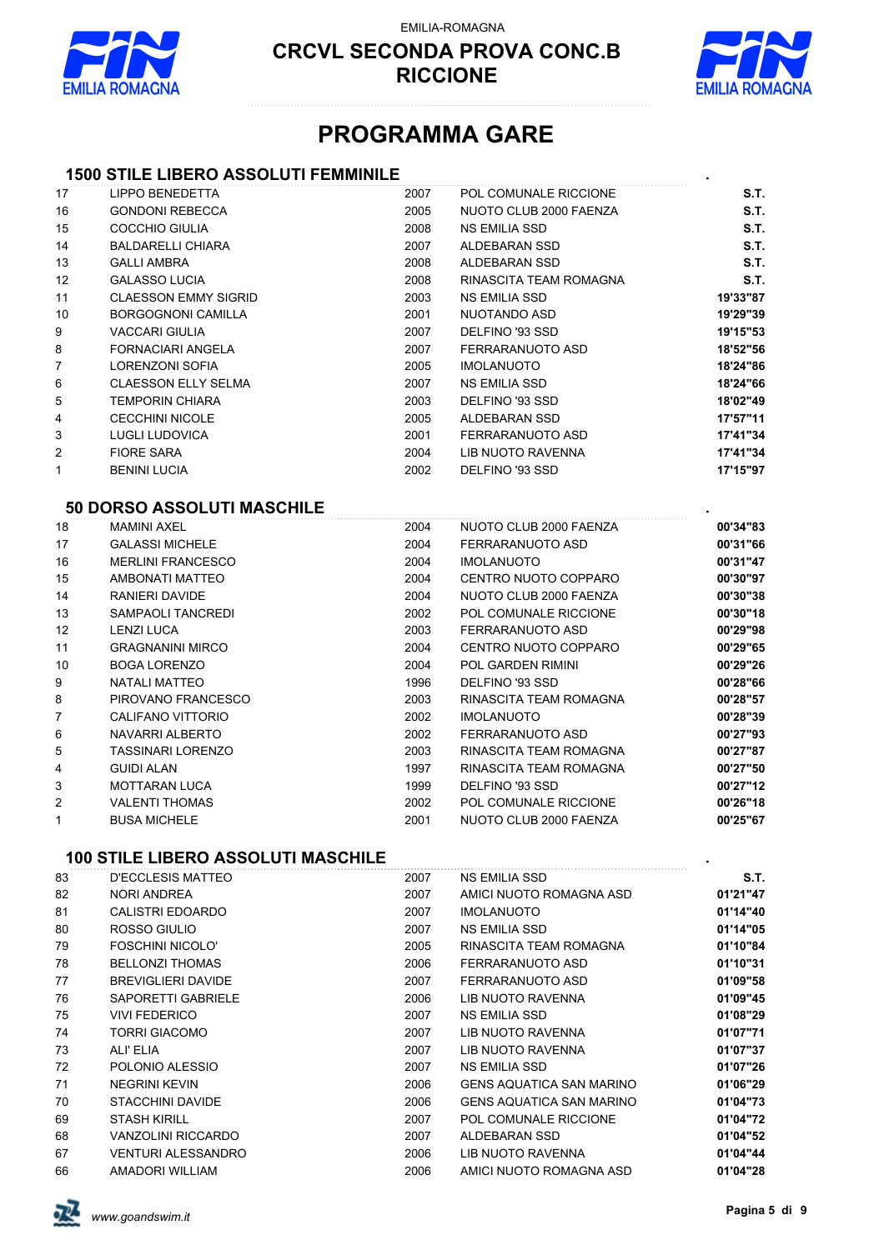

EMILIA-ROMAGNA



## **PROGRAMMA GARE**

### **1500 STILE LIBERO ASSOLUTI FEMMINILE** *.*

| 17           | <b>LIPPO BENEDETTA</b>                    | 2007 | POL COMUNALE RICCIONE    | S.T.        |
|--------------|-------------------------------------------|------|--------------------------|-------------|
| 16           | <b>GONDONI REBECCA</b>                    | 2005 | NUOTO CLUB 2000 FAENZA   | S.T.        |
| 15           | <b>COCCHIO GIULIA</b>                     | 2008 | <b>NS EMILIA SSD</b>     | S.T.        |
| 14           | <b>BALDARELLI CHIARA</b>                  | 2007 | ALDEBARAN SSD            | <b>S.T.</b> |
| 13           | <b>GALLI AMBRA</b>                        | 2008 | <b>ALDEBARAN SSD</b>     | S.T.        |
| 12           | <b>GALASSO LUCIA</b>                      | 2008 | RINASCITA TEAM ROMAGNA   | S.T.        |
| 11           | <b>CLAESSON EMMY SIGRID</b>               | 2003 | <b>NS EMILIA SSD</b>     | 19'33"87    |
| 10           | <b>BORGOGNONI CAMILLA</b>                 | 2001 | <b>NUOTANDO ASD</b>      | 19'29"39    |
| 9            | <b>VACCARI GIULIA</b>                     | 2007 | DELFINO '93 SSD          | 19'15"53    |
| 8            | <b>FORNACIARI ANGELA</b>                  | 2007 | FERRARANUOTO ASD         | 18'52"56    |
| 7            | <b>LORENZONI SOFIA</b>                    | 2005 | <b>IMOLANUOTO</b>        | 18'24"86    |
| 6            | <b>CLAESSON ELLY SELMA</b>                | 2007 | <b>NS EMILIA SSD</b>     | 18'24"66    |
| 5            | <b>TEMPORIN CHIARA</b>                    | 2003 | DELFINO '93 SSD          | 18'02"49    |
| 4            | <b>CECCHINI NICOLE</b>                    | 2005 | ALDEBARAN SSD            | 17'57"11    |
| 3            | <b>LUGLI LUDOVICA</b>                     | 2001 | FERRARANUOTO ASD         | 17'41"34    |
| 2            | <b>FIORE SARA</b>                         | 2004 | <b>LIB NUOTO RAVENNA</b> | 17'41"34    |
| $\mathbf{1}$ | <b>BENINI LUCIA</b>                       | 2002 | DELFINO '93 SSD          | 17'15"97    |
|              | 50 DORSO ASSOLUTI MASCHILE                |      |                          |             |
| 18           | <b>MAMINI AXEL</b>                        | 2004 | NUOTO CLUB 2000 FAENZA   | 00'34"83    |
| 17           | <b>GALASSI MICHELE</b>                    | 2004 | FERRARANUOTO ASD         | 00'31"66    |
| 16           | <b>MERLINI FRANCESCO</b>                  | 2004 | <b>IMOLANUOTO</b>        | 00'31"47    |
| 15           | AMBONATI MATTEO                           | 2004 | CENTRO NUOTO COPPARO     | 00'30"97    |
| 14           | <b>RANIERI DAVIDE</b>                     | 2004 | NUOTO CLUB 2000 FAENZA   | 00'30"38    |
| 13           | <b>SAMPAOLI TANCREDI</b>                  | 2002 | POL COMUNALE RICCIONE    | 00'30"18    |
| 12           | <b>LENZI LUCA</b>                         | 2003 | FERRARANUOTO ASD         | 00'29"98    |
| 11           | <b>GRAGNANINI MIRCO</b>                   | 2004 | CENTRO NUOTO COPPARO     | 00'29"65    |
| 10           | <b>BOGA LORENZO</b>                       | 2004 | <b>POL GARDEN RIMINI</b> | 00'29"26    |
| 9            | <b>NATALI MATTEO</b>                      | 1996 | DELFINO '93 SSD          | 00'28"66    |
| 8            | PIROVANO FRANCESCO                        | 2003 | RINASCITA TEAM ROMAGNA   | 00'28"57    |
| 7            | CALIFANO VITTORIO                         | 2002 | <b>IMOLANUOTO</b>        | 00'28"39    |
| 6            | NAVARRI ALBERTO                           | 2002 | FERRARANUOTO ASD         | 00'27"93    |
| 5            | <b>TASSINARI LORENZO</b>                  | 2003 | RINASCITA TEAM ROMAGNA   | 00'27"87    |
| 4            | <b>GUIDI ALAN</b>                         | 1997 | RINASCITA TEAM ROMAGNA   | 00'27"50    |
| 3            | <b>MOTTARAN LUCA</b>                      | 1999 | DELFINO '93 SSD          | 00'27"12    |
| 2            | <b>VALENTI THOMAS</b>                     | 2002 | POL COMUNALE RICCIONE    | 00'26"18    |
| $\mathbf{1}$ | <b>BUSA MICHELE</b>                       | 2001 | NUOTO CLUB 2000 FAENZA   | 00'25"67    |
|              |                                           |      |                          |             |
|              | <b>100 STILE LIBERO ASSOLUTI MASCHILE</b> |      |                          |             |
|              |                                           |      |                          |             |

| 83 | D'ECCLESIS MATTEO         | 2007 | <b>NS EMILIA SSD</b>            | S.T.     |
|----|---------------------------|------|---------------------------------|----------|
| 82 | NORI ANDREA               | 2007 | AMICI NUOTO ROMAGNA ASD         | 01'21"47 |
| 81 | CALISTRI EDOARDO          | 2007 | <b>IMOLANUOTO</b>               | 01'14"40 |
| 80 | ROSSO GIULIO              | 2007 | <b>NS EMILIA SSD</b>            | 01'14"05 |
| 79 | <b>FOSCHINI NICOLO'</b>   | 2005 | RINASCITA TEAM ROMAGNA          | 01'10"84 |
| 78 | <b>BELLONZI THOMAS</b>    | 2006 | FERRARANUOTO ASD                | 01'10"31 |
| 77 | <b>BREVIGLIERI DAVIDE</b> | 2007 | FERRARANUOTO ASD                | 01'09"58 |
| 76 | SAPORETTI GABRIELE        | 2006 | LIB NUOTO RAVENNA               | 01'09"45 |
| 75 | <b>VIVI FEDERICO</b>      | 2007 | NS EMILIA SSD                   | 01'08"29 |
| 74 | <b>TORRI GIACOMO</b>      | 2007 | LIB NUOTO RAVENNA               | 01'07"71 |
| 73 | ALI' ELIA                 | 2007 | LIB NUOTO RAVENNA               | 01'07"37 |
| 72 | POLONIO ALESSIO           | 2007 | <b>NS EMILIA SSD</b>            | 01'07"26 |
| 71 | <b>NEGRINI KEVIN</b>      | 2006 | <b>GENS AQUATICA SAN MARINO</b> | 01'06"29 |
| 70 | <b>STACCHINI DAVIDE</b>   | 2006 | <b>GENS AQUATICA SAN MARINO</b> | 01'04"73 |
| 69 | <b>STASH KIRILL</b>       | 2007 | POL COMUNALE RICCIONE           | 01'04"72 |
| 68 | VANZOLINI RICCARDO        | 2007 | ALDEBARAN SSD                   | 01'04"52 |
| 67 | <b>VENTURI ALESSANDRO</b> | 2006 | LIB NUOTO RAVENNA               | 01'04"44 |
| 66 | AMADORI WILLIAM           | 2006 | AMICI NUOTO ROMAGNA ASD         | 01'04"28 |

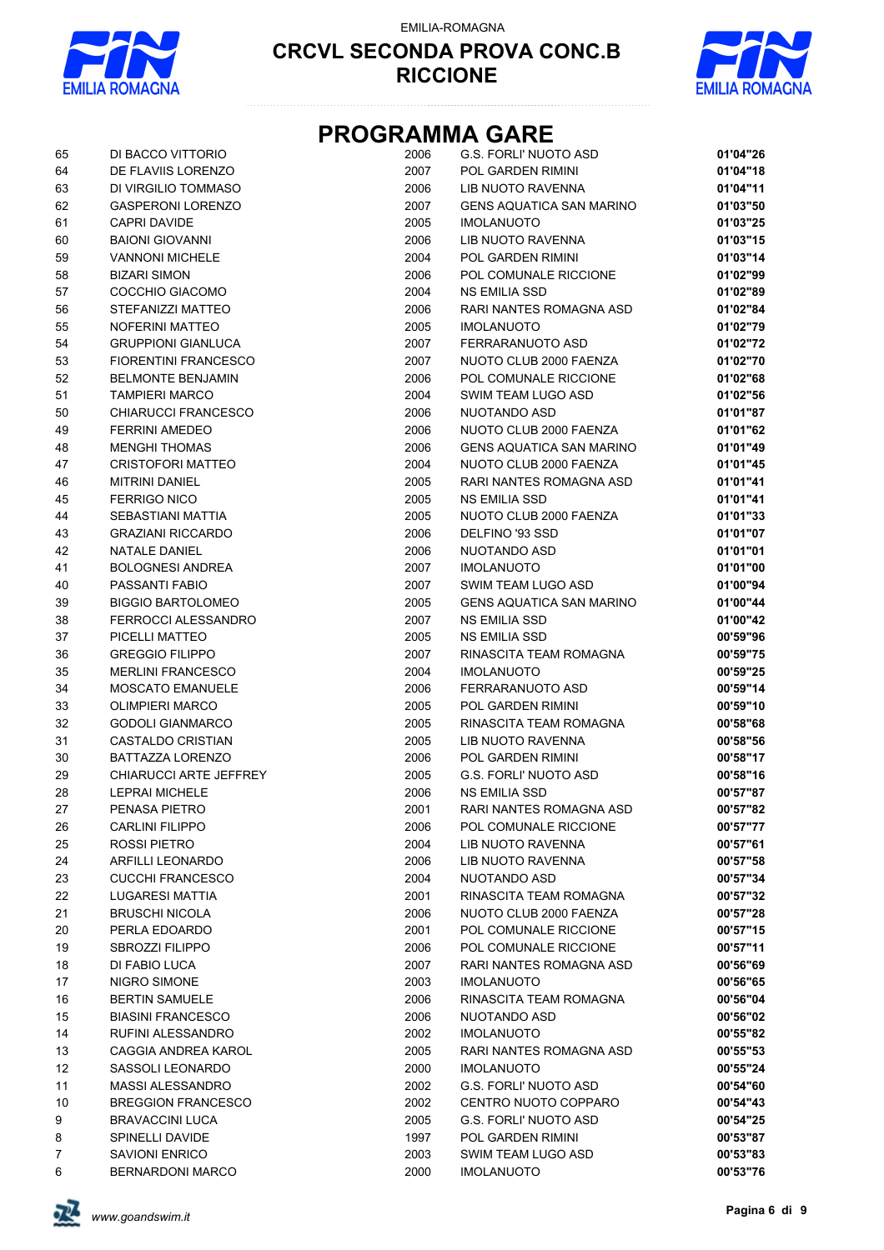

EMILIA-ROMAGNA



## **PROGRAMMA GARE**

| 65 | DI BACCO VITTORIO             | 2006 | <b>G.S. FORLI' NUOTO ASD</b>    | 01'04"26 |
|----|-------------------------------|------|---------------------------------|----------|
| 64 | DE FLAVIIS LORENZO            | 2007 | POL GARDEN RIMINI               | 01'04"18 |
| 63 | DI VIRGILIO TOMMASO           | 2006 | LIB NUOTO RAVENNA               | 01'04"11 |
| 62 | <b>GASPERONI LORENZO</b>      | 2007 | <b>GENS AQUATICA SAN MARINO</b> | 01'03"50 |
| 61 | <b>CAPRI DAVIDE</b>           | 2005 | <b>IMOLANUOTO</b>               | 01'03"25 |
| 60 | <b>BAIONI GIOVANNI</b>        | 2006 | LIB NUOTO RAVENNA               | 01'03"15 |
| 59 | <b>VANNONI MICHELE</b>        | 2004 | POL GARDEN RIMINI               | 01'03"14 |
| 58 | <b>BIZARI SIMON</b>           | 2006 | POL COMUNALE RICCIONE           | 01'02"99 |
| 57 | COCCHIO GIACOMO               | 2004 | NS EMILIA SSD                   | 01'02"89 |
| 56 | STEFANIZZI MATTEO             | 2006 | <b>RARI NANTES ROMAGNA ASD</b>  | 01'02"84 |
| 55 | <b>NOFERINI MATTEO</b>        | 2005 | <b>IMOLANUOTO</b>               | 01'02"79 |
| 54 | <b>GRUPPIONI GIANLUCA</b>     | 2007 | FERRARANUOTO ASD                | 01'02"72 |
| 53 | <b>FIORENTINI FRANCESCO</b>   | 2007 | NUOTO CLUB 2000 FAENZA          | 01'02"70 |
| 52 | <b>BELMONTE BENJAMIN</b>      | 2006 | POL COMUNALE RICCIONE           | 01'02"68 |
| 51 | <b>TAMPIERI MARCO</b>         | 2004 | SWIM TEAM LUGO ASD              | 01'02"56 |
| 50 | CHIARUCCI FRANCESCO           | 2006 | NUOTANDO ASD                    | 01'01"87 |
| 49 | <b>FERRINI AMEDEO</b>         | 2006 | NUOTO CLUB 2000 FAENZA          | 01'01"62 |
| 48 | <b>MENGHI THOMAS</b>          | 2006 | <b>GENS AQUATICA SAN MARINO</b> | 01'01"49 |
| 47 | <b>CRISTOFORI MATTEO</b>      | 2004 | NUOTO CLUB 2000 FAENZA          | 01'01"45 |
| 46 | <b>MITRINI DANIEL</b>         | 2005 | RARI NANTES ROMAGNA ASD         | 01'01"41 |
| 45 | <b>FERRIGO NICO</b>           | 2005 | <b>NS EMILIA SSD</b>            | 01'01"41 |
| 44 | SEBASTIANI MATTIA             | 2005 | NUOTO CLUB 2000 FAENZA          | 01'01"33 |
| 43 | <b>GRAZIANI RICCARDO</b>      | 2006 | DELFINO '93 SSD                 | 01'01"07 |
| 42 | NATALE DANIEL                 | 2006 | NUOTANDO ASD                    | 01'01"01 |
| 41 | <b>BOLOGNESI ANDREA</b>       | 2007 | <b>IMOLANUOTO</b>               | 01'01"00 |
| 40 | PASSANTI FABIO                | 2007 | SWIM TEAM LUGO ASD              | 01'00"94 |
| 39 | <b>BIGGIO BARTOLOMEO</b>      | 2005 | <b>GENS AQUATICA SAN MARINO</b> | 01'00"44 |
| 38 | <b>FERROCCI ALESSANDRO</b>    | 2007 | <b>NS EMILIA SSD</b>            | 01'00"42 |
| 37 | PICELLI MATTEO                | 2005 | NS EMILIA SSD                   | 00'59"96 |
| 36 | <b>GREGGIO FILIPPO</b>        | 2007 | RINASCITA TEAM ROMAGNA          | 00'59"75 |
| 35 | <b>MERLINI FRANCESCO</b>      | 2004 | <b>IMOLANUOTO</b>               | 00'59"25 |
| 34 | <b>MOSCATO EMANUELE</b>       | 2006 | FERRARANUOTO ASD                | 00'59"14 |
| 33 | <b>OLIMPIERI MARCO</b>        | 2005 | POL GARDEN RIMINI               | 00'59"10 |
| 32 | <b>GODOLI GIANMARCO</b>       | 2005 | RINASCITA TEAM ROMAGNA          | 00'58"68 |
| 31 | <b>CASTALDO CRISTIAN</b>      | 2005 | LIB NUOTO RAVENNA               | 00'58"56 |
| 30 | BATTAZZA LORENZO              | 2006 | POL GARDEN RIMINI               | 00'58"17 |
| 29 | <b>CHIARUCCI ARTE JEFFREY</b> | 2005 | <b>G.S. FORLI' NUOTO ASD</b>    | 00'58"16 |
| 28 | <b>LEPRAI MICHELE</b>         | 2006 | <b>NS EMILIA SSD</b>            | 00'57"87 |
| 27 | PENASA PIFTRO                 | 2001 | RARI NANTES ROMAGNA ASD         | 00'57"82 |
| 26 | <b>CARLINI FILIPPO</b>        | 2006 | POL COMUNALE RICCIONE           | 00'57"77 |
| 25 | ROSSI PIETRO                  | 2004 | LIB NUOTO RAVENNA               | 00'57"61 |
| 24 | <b>ARFILLI LEONARDO</b>       | 2006 | LIB NUOTO RAVENNA               | 00'57"58 |
| 23 | <b>CUCCHI FRANCESCO</b>       | 2004 | NUOTANDO ASD                    | 00'57"34 |
| 22 | <b>LUGARESI MATTIA</b>        | 2001 | RINASCITA TEAM ROMAGNA          | 00'57"32 |
| 21 | <b>BRUSCHI NICOLA</b>         | 2006 | NUOTO CLUB 2000 FAENZA          | 00'57"28 |
| 20 | PERLA EDOARDO                 | 2001 | POL COMUNALE RICCIONE           | 00'57"15 |
| 19 | <b>SBROZZI FILIPPO</b>        | 2006 | POL COMUNALE RICCIONE           | 00'57"11 |
| 18 | DI FABIO LUCA                 | 2007 | RARI NANTES ROMAGNA ASD         | 00'56"69 |
| 17 | NIGRO SIMONE                  | 2003 | <b>IMOLANUOTO</b>               | 00'56"65 |
| 16 | <b>BERTIN SAMUELE</b>         | 2006 | RINASCITA TEAM ROMAGNA          | 00'56"04 |
| 15 | <b>BIASINI FRANCESCO</b>      | 2006 | NUOTANDO ASD                    | 00'56"02 |
| 14 | RUFINI ALESSANDRO             | 2002 | <b>IMOLANUOTO</b>               | 00'55"82 |
| 13 | CAGGIA ANDREA KAROL           | 2005 | RARI NANTES ROMAGNA ASD         | 00'55"53 |
| 12 | SASSOLI LEONARDO              | 2000 | <b>IMOLANUOTO</b>               | 00'55"24 |
| 11 | <b>MASSI ALESSANDRO</b>       | 2002 | <b>G.S. FORLI' NUOTO ASD</b>    | 00'54"60 |
| 10 | <b>BREGGION FRANCESCO</b>     | 2002 | CENTRO NUOTO COPPARO            | 00'54"43 |
| 9  | BRAVACCINI LUCA               | 2005 | <b>G.S. FORLI' NUOTO ASD</b>    | 00'54"25 |
| 8  | SPINELLI DAVIDE               | 1997 | POL GARDEN RIMINI               | 00'53"87 |
| 7  | SAVIONI ENRICO                | 2003 | SWIM TEAM LUGO ASD              | 00'53"83 |
| 6  | BERNARDONI MARCO              | 2000 | <b>IMOLANUOTO</b>               | 00'53"76 |
|    |                               |      |                                 |          |

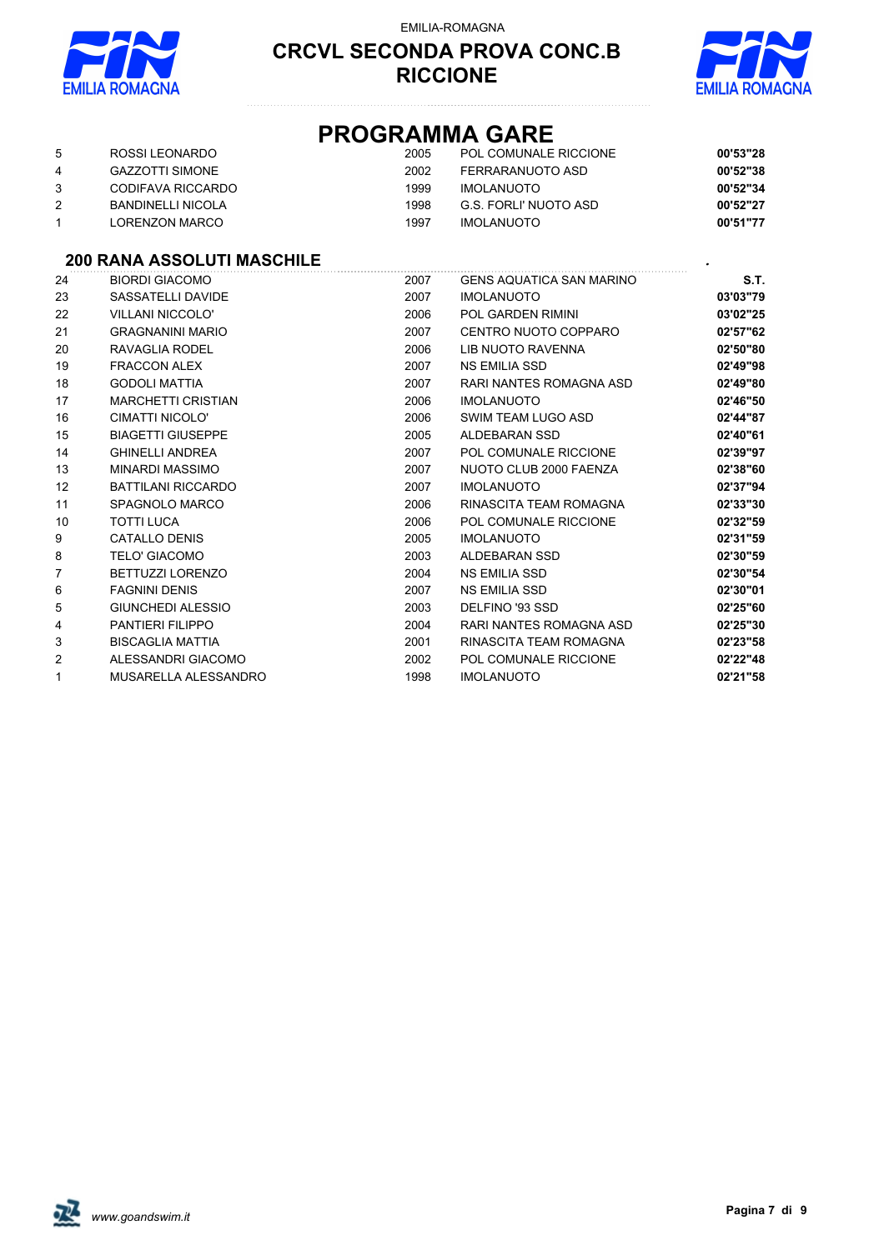

#### EMILIA-ROMAGNA

#### **CRCVL SECONDA PROVA CONC.B RICCIONE**



### **PROGRAMMA GARE**

| 5 | ROSSI LEONARDO           | 2005 | POL COMUNALE RICCIONE | 00'53"28 |
|---|--------------------------|------|-----------------------|----------|
| 4 | <b>GAZZOTTI SIMONE</b>   | 2002 | FERRARANUOTO ASD      | 00'52"38 |
|   | CODIFAVA RICCARDO        | 1999 | <b>IMOLANUOTO</b>     | 00'52"34 |
|   | <b>BANDINELLI NICOLA</b> | 1998 | G.S. FORLI' NUOTO ASD | 00'52"27 |
|   | LORENZON MARCO           | 1997 | IMOLANUOTO            | 00'51"77 |

#### **200 RANA ASSOLUTI MASCHILE** *.*

| 24 | <b>BIORDI GIACOMO</b>     | 2007 | <b>GENS AQUATICA SAN MARINO</b> | S.T.     |
|----|---------------------------|------|---------------------------------|----------|
| 23 | SASSATELLI DAVIDE         | 2007 | <b>IMOLANUOTO</b>               | 03'03"79 |
| 22 | <b>VILLANI NICCOLO'</b>   | 2006 | POL GARDEN RIMINI               | 03'02"25 |
| 21 | <b>GRAGNANINI MARIO</b>   | 2007 | CENTRO NUOTO COPPARO            | 02'57"62 |
| 20 | RAVAGLIA RODEL            | 2006 | LIB NUOTO RAVENNA               | 02'50"80 |
| 19 | <b>FRACCON ALEX</b>       | 2007 | NS EMILIA SSD                   | 02'49"98 |
| 18 | <b>GODOLI MATTIA</b>      | 2007 | RARI NANTES ROMAGNA ASD         | 02'49"80 |
| 17 | <b>MARCHETTI CRISTIAN</b> | 2006 | <b>IMOLANUOTO</b>               | 02'46"50 |
| 16 | CIMATTI NICOLO'           | 2006 | SWIM TEAM LUGO ASD              | 02'44"87 |
| 15 | <b>BIAGETTI GIUSEPPE</b>  | 2005 | ALDEBARAN SSD                   | 02'40"61 |
| 14 | <b>GHINELLI ANDREA</b>    | 2007 | POL COMUNALE RICCIONE           | 02'39"97 |
| 13 | MINARDI MASSIMO           | 2007 | NUOTO CLUB 2000 FAENZA          | 02'38"60 |
| 12 | <b>BATTILANI RICCARDO</b> | 2007 | <b>IMOLANUOTO</b>               | 02'37"94 |
| 11 | SPAGNOLO MARCO            | 2006 | RINASCITA TEAM ROMAGNA          | 02'33"30 |
| 10 | <b>TOTTI LUCA</b>         | 2006 | POL COMUNALE RICCIONE           | 02'32"59 |
| 9  | <b>CATALLO DENIS</b>      | 2005 | <b>IMOLANUOTO</b>               | 02'31"59 |
| 8  | <b>TELO' GIACOMO</b>      | 2003 | ALDEBARAN SSD                   | 02'30"59 |
| 7  | <b>BETTUZZI LORENZO</b>   | 2004 | NS EMILIA SSD                   | 02'30"54 |
| 6  | <b>FAGNINI DENIS</b>      | 2007 | NS EMILIA SSD                   | 02'30"01 |
| 5  | <b>GIUNCHEDI ALESSIO</b>  | 2003 | DELFINO '93 SSD                 | 02'25"60 |
| 4  | <b>PANTIERI FILIPPO</b>   | 2004 | RARI NANTES ROMAGNA ASD         | 02'25"30 |
| 3  | <b>BISCAGLIA MATTIA</b>   | 2001 | RINASCITA TEAM ROMAGNA          | 02'23"58 |
| 2  | ALESSANDRI GIACOMO        | 2002 | POL COMUNALE RICCIONE           | 02'22"48 |
| 1  | MUSARELLA ALESSANDRO      | 1998 | <b>IMOLANUOTO</b>               | 02'21"58 |

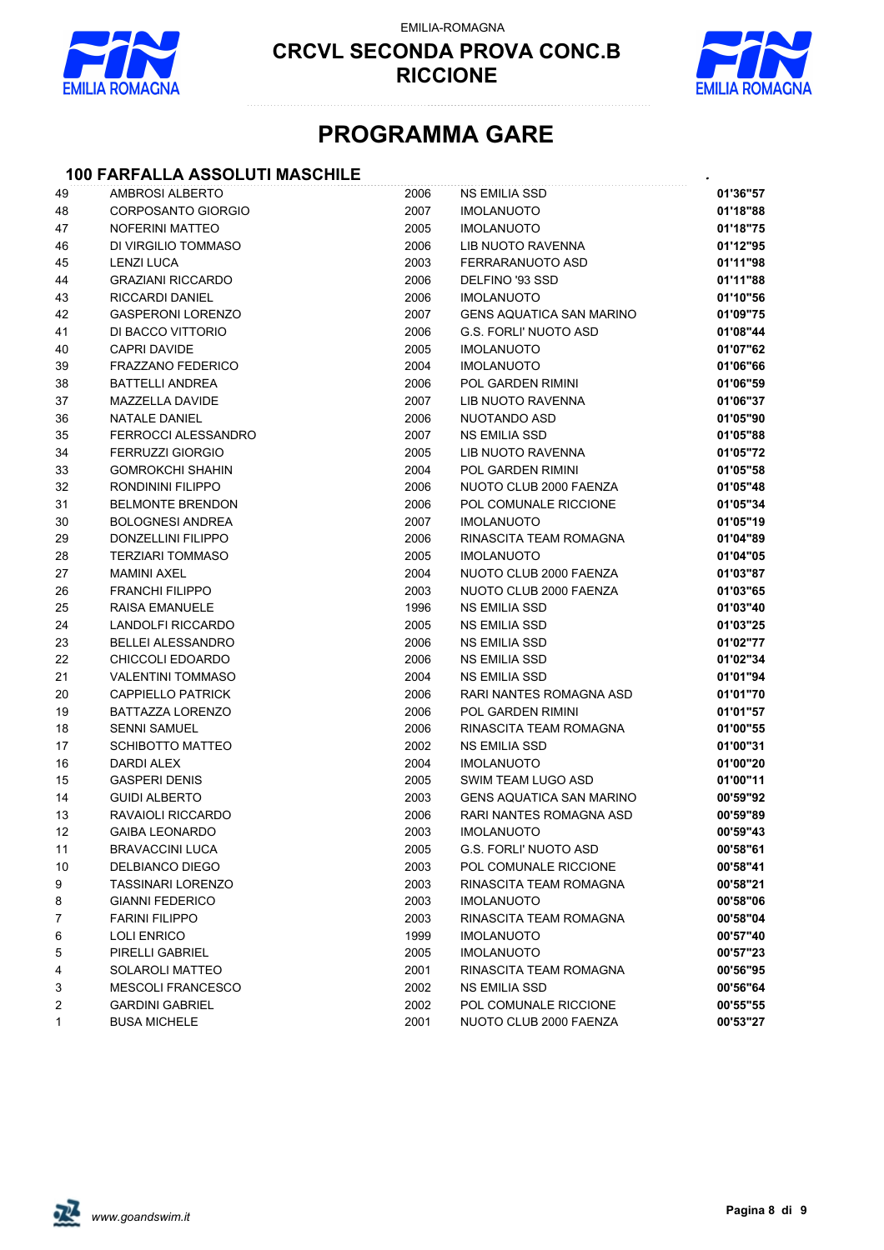

EMILIA-ROMAGNA



# **PROGRAMMA GARE**

### **100 FARFALLA ASSOLUTI MASCHILE** *.*

| 49 | AMBROSI ALBERTO           | 2006 | <b>NS EMILIA SSD</b>            | 01'36"57 |
|----|---------------------------|------|---------------------------------|----------|
| 48 | <b>CORPOSANTO GIORGIO</b> | 2007 | <b>IMOLANUOTO</b>               | 01'18"88 |
| 47 | <b>NOFERINI MATTEO</b>    | 2005 | <b>IMOLANUOTO</b>               | 01'18"75 |
| 46 | DI VIRGILIO TOMMASO       | 2006 | LIB NUOTO RAVENNA               | 01'12"95 |
| 45 | <b>LENZI LUCA</b>         | 2003 | FERRARANUOTO ASD                | 01'11"98 |
| 44 | <b>GRAZIANI RICCARDO</b>  | 2006 | DELFINO '93 SSD                 | 01'11"88 |
| 43 | RICCARDI DANIEL           | 2006 | <b>IMOLANUOTO</b>               | 01'10"56 |
| 42 | <b>GASPERONI LORENZO</b>  | 2007 | <b>GENS AQUATICA SAN MARINO</b> | 01'09"75 |
| 41 | DI BACCO VITTORIO         | 2006 | <b>G.S. FORLI' NUOTO ASD</b>    | 01'08"44 |
| 40 | <b>CAPRI DAVIDE</b>       | 2005 | <b>IMOLANUOTO</b>               | 01'07"62 |
| 39 | <b>FRAZZANO FEDERICO</b>  | 2004 | <b>IMOLANUOTO</b>               | 01'06"66 |
| 38 | <b>BATTELLI ANDREA</b>    | 2006 | POL GARDEN RIMINI               | 01'06"59 |
| 37 | MAZZELLA DAVIDE           | 2007 | LIB NUOTO RAVENNA               | 01'06"37 |
| 36 | <b>NATALE DANIEL</b>      | 2006 | NUOTANDO ASD                    | 01'05"90 |
| 35 | FERROCCI ALESSANDRO       | 2007 | NS EMILIA SSD                   | 01'05"88 |
| 34 | <b>FERRUZZI GIORGIO</b>   | 2005 | LIB NUOTO RAVENNA               | 01'05"72 |
| 33 | <b>GOMROKCHI SHAHIN</b>   | 2004 | <b>POL GARDEN RIMINI</b>        | 01'05"58 |
| 32 | RONDININI FILIPPO         | 2006 | NUOTO CLUB 2000 FAENZA          | 01'05"48 |
| 31 | <b>BELMONTE BRENDON</b>   | 2006 | POL COMUNALE RICCIONE           | 01'05"34 |
| 30 | <b>BOLOGNESI ANDREA</b>   | 2007 | <b>IMOLANUOTO</b>               | 01'05"19 |
| 29 | DONZELLINI FILIPPO        | 2006 | RINASCITA TEAM ROMAGNA          | 01'04"89 |
| 28 | <b>TERZIARI TOMMASO</b>   | 2005 | <b>IMOLANUOTO</b>               | 01'04"05 |
| 27 | <b>MAMINI AXEL</b>        | 2004 | NUOTO CLUB 2000 FAENZA          | 01'03"87 |
| 26 | <b>FRANCHI FILIPPO</b>    | 2003 | NUOTO CLUB 2000 FAENZA          | 01'03"65 |
| 25 | RAISA EMANUELE            | 1996 | NS EMILIA SSD                   | 01'03"40 |
| 24 | LANDOLFI RICCARDO         | 2005 | NS EMILIA SSD                   | 01'03"25 |
| 23 | <b>BELLEI ALESSANDRO</b>  | 2006 | NS EMILIA SSD                   | 01'02"77 |
| 22 | CHICCOLI EDOARDO          | 2006 | NS EMILIA SSD                   | 01'02"34 |
| 21 | <b>VALENTINI TOMMASO</b>  | 2004 | <b>NS EMILIA SSD</b>            | 01'01"94 |
| 20 | <b>CAPPIELLO PATRICK</b>  | 2006 | RARI NANTES ROMAGNA ASD         | 01'01"70 |
| 19 | BATTAZZA LORENZO          | 2006 | POL GARDEN RIMINI               | 01'01"57 |
| 18 | <b>SENNI SAMUEL</b>       | 2006 | RINASCITA TEAM ROMAGNA          | 01'00"55 |
| 17 | <b>SCHIBOTTO MATTEO</b>   | 2002 | <b>NS EMILIA SSD</b>            | 01'00"31 |
| 16 | DARDI ALEX                | 2004 | <b>IMOLANUOTO</b>               | 01'00"20 |
| 15 | <b>GASPERI DENIS</b>      | 2005 | SWIM TEAM LUGO ASD              | 01'00"11 |
| 14 | <b>GUIDI ALBERTO</b>      | 2003 | <b>GENS AQUATICA SAN MARINO</b> | 00'59"92 |
| 13 | RAVAIOLI RICCARDO         | 2006 | RARI NANTES ROMAGNA ASD         | 00'59"89 |
| 12 | <b>GAIBA LEONARDO</b>     | 2003 | <b>IMOLANUOTO</b>               | 00'59"43 |
| 11 | <b>BRAVACCINI LUCA</b>    | 2005 | <b>G.S. FORLI' NUOTO ASD</b>    | 00'58"61 |
| 10 | DELBIANCO DIEGO           | 2003 | POL COMUNALE RICCIONE           | 00'58"41 |
| 9  | TASSINARI LORENZO         | 2003 | RINASCITA TEAM ROMAGNA          | 00'58"21 |
| 8  | <b>GIANNI FEDERICO</b>    | 2003 | <b>IMOLANUOTO</b>               | 00'58"06 |
| 7  | <b>FARINI FILIPPO</b>     | 2003 | RINASCITA TEAM ROMAGNA          | 00'58"04 |
| 6  | <b>LOLI ENRICO</b>        | 1999 | <b>IMOLANUOTO</b>               | 00'57"40 |
| 5  | PIRELLI GABRIEL           | 2005 | <b>IMOLANUOTO</b>               | 00'57"23 |
| 4  | SOLAROLI MATTEO           | 2001 | RINASCITA TEAM ROMAGNA          | 00'56"95 |
| 3  | MESCOLI FRANCESCO         | 2002 | <b>NS EMILIA SSD</b>            | 00'56"64 |
| 2  | <b>GARDINI GABRIEL</b>    | 2002 | POL COMUNALE RICCIONE           | 00'55"55 |
| 1  | <b>BUSA MICHELE</b>       | 2001 | NUOTO CLUB 2000 FAENZA          | 00'53"27 |